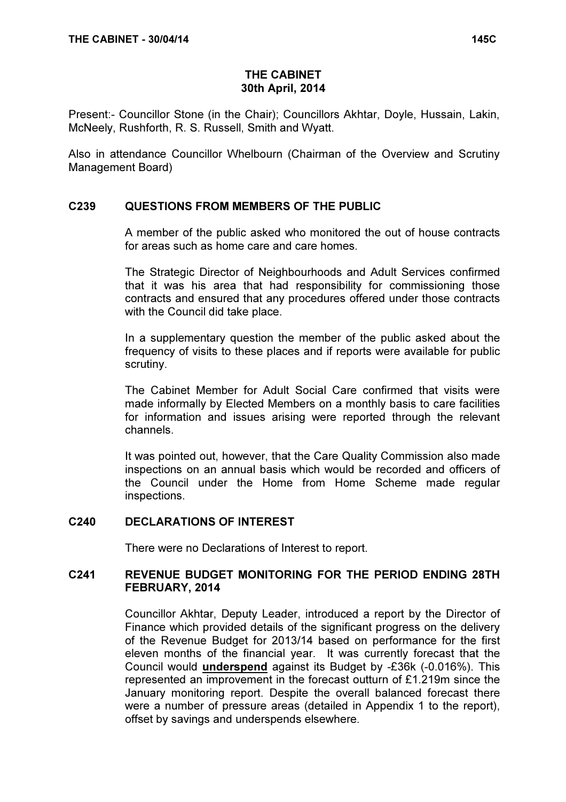# THE CABINET 30th April, 2014

Present:- Councillor Stone (in the Chair); Councillors Akhtar, Doyle, Hussain, Lakin, McNeely, Rushforth, R. S. Russell, Smith and Wyatt.

Also in attendance Councillor Whelbourn (Chairman of the Overview and Scrutiny Management Board)

# C239 QUESTIONS FROM MEMBERS OF THE PUBLIC

 A member of the public asked who monitored the out of house contracts for areas such as home care and care homes.

The Strategic Director of Neighbourhoods and Adult Services confirmed that it was his area that had responsibility for commissioning those contracts and ensured that any procedures offered under those contracts with the Council did take place.

In a supplementary question the member of the public asked about the frequency of visits to these places and if reports were available for public scrutiny.

The Cabinet Member for Adult Social Care confirmed that visits were made informally by Elected Members on a monthly basis to care facilities for information and issues arising were reported through the relevant channels.

It was pointed out, however, that the Care Quality Commission also made inspections on an annual basis which would be recorded and officers of the Council under the Home from Home Scheme made regular inspections.

### C240 DECLARATIONS OF INTEREST

There were no Declarations of Interest to report.

# C241 REVENUE BUDGET MONITORING FOR THE PERIOD ENDING 28TH FEBRUARY, 2014

 Councillor Akhtar, Deputy Leader, introduced a report by the Director of Finance which provided details of the significant progress on the delivery of the Revenue Budget for 2013/14 based on performance for the first eleven months of the financial year. It was currently forecast that the Council would underspend against its Budget by -£36k (-0.016%). This represented an improvement in the forecast outturn of £1.219m since the January monitoring report. Despite the overall balanced forecast there were a number of pressure areas (detailed in Appendix 1 to the report), offset by savings and underspends elsewhere.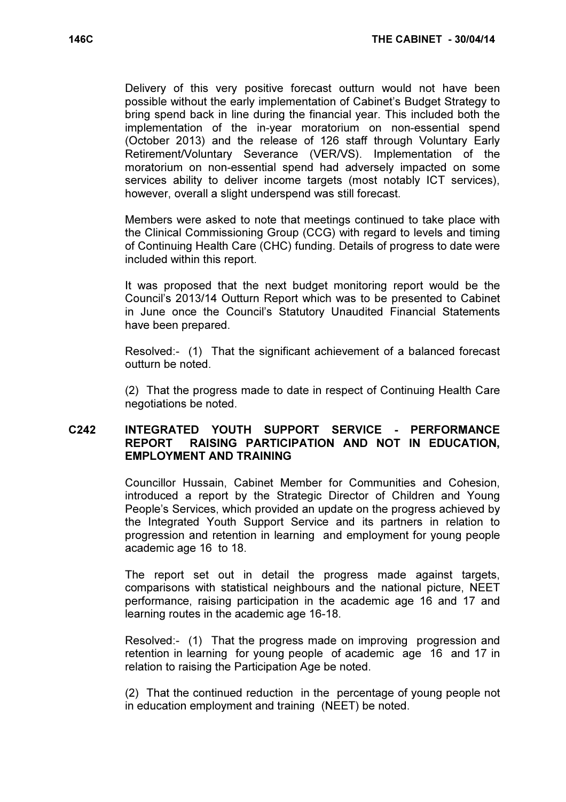Delivery of this very positive forecast outturn would not have been possible without the early implementation of Cabinet's Budget Strategy to bring spend back in line during the financial year. This included both the implementation of the in-year moratorium on non-essential spend (October 2013) and the release of 126 staff through Voluntary Early Retirement/Voluntary Severance (VER/VS). Implementation of the moratorium on non-essential spend had adversely impacted on some services ability to deliver income targets (most notably ICT services), however, overall a slight underspend was still forecast.

Members were asked to note that meetings continued to take place with the Clinical Commissioning Group (CCG) with regard to levels and timing of Continuing Health Care (CHC) funding. Details of progress to date were included within this report.

It was proposed that the next budget monitoring report would be the Council's 2013/14 Outturn Report which was to be presented to Cabinet in June once the Council's Statutory Unaudited Financial Statements have been prepared.

Resolved:- (1) That the significant achievement of a balanced forecast outturn be noted.

(2) That the progress made to date in respect of Continuing Health Care negotiations be noted.

# C242 INTEGRATED YOUTH SUPPORT SERVICE - PERFORMANCE REPORT RAISING PARTICIPATION AND NOT IN EDUCATION, EMPLOYMENT AND TRAINING

 Councillor Hussain, Cabinet Member for Communities and Cohesion, introduced a report by the Strategic Director of Children and Young People's Services, which provided an update on the progress achieved by the Integrated Youth Support Service and its partners in relation to progression and retention in learning and employment for young people academic age 16 to 18.

The report set out in detail the progress made against targets, comparisons with statistical neighbours and the national picture, NEET performance, raising participation in the academic age 16 and 17 and learning routes in the academic age 16-18.

Resolved:- (1) That the progress made on improving progression and retention in learning for young people of academic age 16 and 17 in relation to raising the Participation Age be noted.

(2) That the continued reduction in the percentage of young people not in education employment and training (NEET) be noted.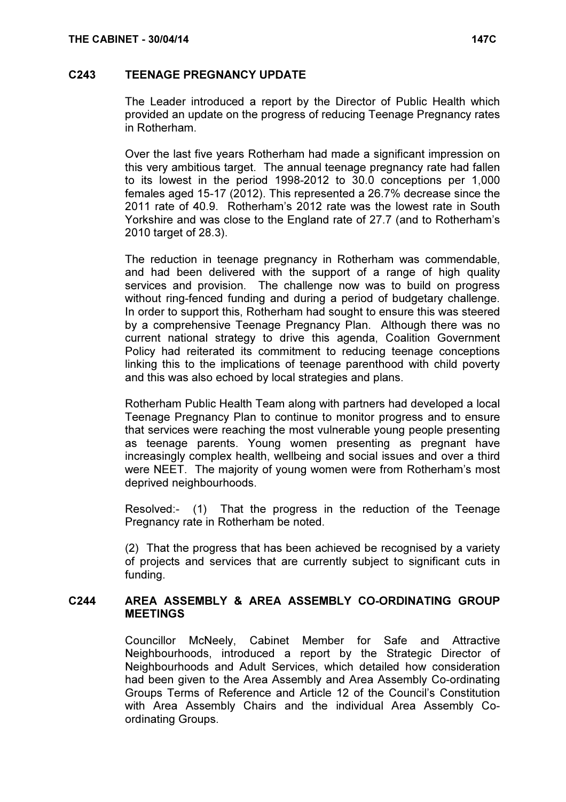### C243 TEENAGE PREGNANCY UPDATE

 The Leader introduced a report by the Director of Public Health which provided an update on the progress of reducing Teenage Pregnancy rates in Rotherham.

Over the last five years Rotherham had made a significant impression on this very ambitious target. The annual teenage pregnancy rate had fallen to its lowest in the period 1998-2012 to 30.0 conceptions per 1,000 females aged 15-17 (2012). This represented a 26.7% decrease since the 2011 rate of 40.9. Rotherham's 2012 rate was the lowest rate in South Yorkshire and was close to the England rate of 27.7 (and to Rotherham's 2010 target of 28.3).

The reduction in teenage pregnancy in Rotherham was commendable, and had been delivered with the support of a range of high quality services and provision. The challenge now was to build on progress without ring-fenced funding and during a period of budgetary challenge. In order to support this, Rotherham had sought to ensure this was steered by a comprehensive Teenage Pregnancy Plan. Although there was no current national strategy to drive this agenda, Coalition Government Policy had reiterated its commitment to reducing teenage conceptions linking this to the implications of teenage parenthood with child poverty and this was also echoed by local strategies and plans.

Rotherham Public Health Team along with partners had developed a local Teenage Pregnancy Plan to continue to monitor progress and to ensure that services were reaching the most vulnerable young people presenting as teenage parents. Young women presenting as pregnant have increasingly complex health, wellbeing and social issues and over a third were NEET. The majority of young women were from Rotherham's most deprived neighbourhoods.

Resolved:- (1) That the progress in the reduction of the Teenage Pregnancy rate in Rotherham be noted.

(2) That the progress that has been achieved be recognised by a variety of projects and services that are currently subject to significant cuts in funding.

### C244 AREA ASSEMBLY & AREA ASSEMBLY CO-ORDINATING GROUP **MEETINGS**

 Councillor McNeely, Cabinet Member for Safe and Attractive Neighbourhoods, introduced a report by the Strategic Director of Neighbourhoods and Adult Services, which detailed how consideration had been given to the Area Assembly and Area Assembly Co-ordinating Groups Terms of Reference and Article 12 of the Council's Constitution with Area Assembly Chairs and the individual Area Assembly Coordinating Groups.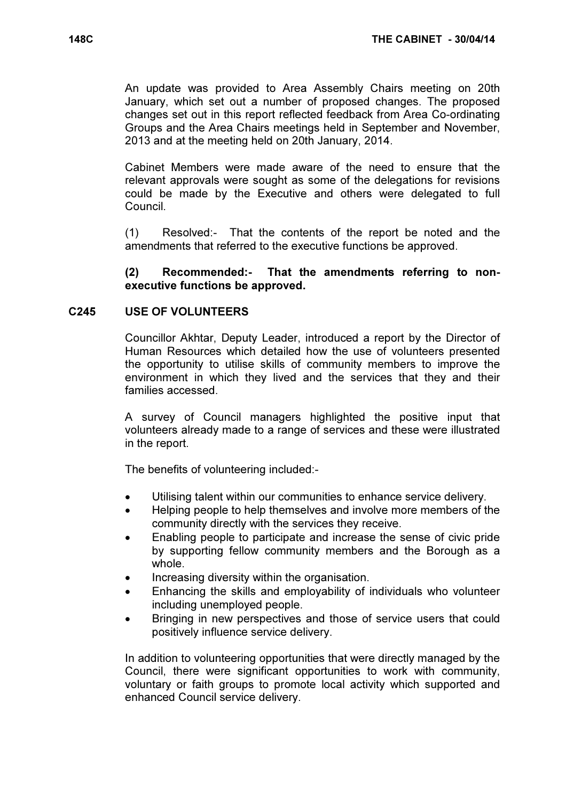An update was provided to Area Assembly Chairs meeting on 20th January, which set out a number of proposed changes. The proposed changes set out in this report reflected feedback from Area Co-ordinating Groups and the Area Chairs meetings held in September and November, 2013 and at the meeting held on 20th January, 2014.

Cabinet Members were made aware of the need to ensure that the relevant approvals were sought as some of the delegations for revisions could be made by the Executive and others were delegated to full Council.

(1) Resolved:- That the contents of the report be noted and the amendments that referred to the executive functions be approved.

### (2) Recommended:- That the amendments referring to nonexecutive functions be approved.

### C245 USE OF VOLUNTEERS

 Councillor Akhtar, Deputy Leader, introduced a report by the Director of Human Resources which detailed how the use of volunteers presented the opportunity to utilise skills of community members to improve the environment in which they lived and the services that they and their families accessed.

A survey of Council managers highlighted the positive input that volunteers already made to a range of services and these were illustrated in the report.

The benefits of volunteering included:-

- Utilising talent within our communities to enhance service delivery.
- Helping people to help themselves and involve more members of the community directly with the services they receive.
- Enabling people to participate and increase the sense of civic pride by supporting fellow community members and the Borough as a whole.
- Increasing diversity within the organisation.
- Enhancing the skills and employability of individuals who volunteer including unemployed people.
- Bringing in new perspectives and those of service users that could positively influence service delivery.

In addition to volunteering opportunities that were directly managed by the Council, there were significant opportunities to work with community, voluntary or faith groups to promote local activity which supported and enhanced Council service delivery.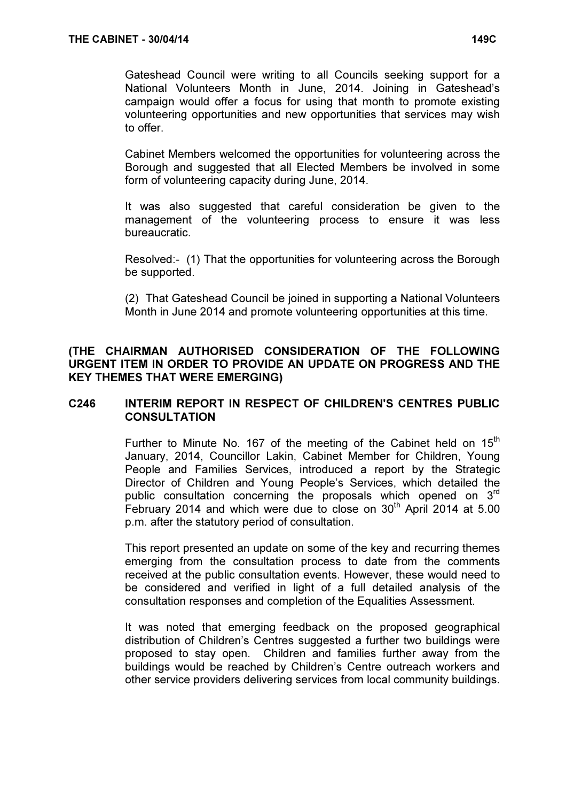Gateshead Council were writing to all Councils seeking support for a National Volunteers Month in June, 2014. Joining in Gateshead's campaign would offer a focus for using that month to promote existing volunteering opportunities and new opportunities that services may wish to offer.

Cabinet Members welcomed the opportunities for volunteering across the Borough and suggested that all Elected Members be involved in some form of volunteering capacity during June, 2014.

It was also suggested that careful consideration be given to the management of the volunteering process to ensure it was less bureaucratic.

Resolved:- (1) That the opportunities for volunteering across the Borough be supported.

(2) That Gateshead Council be joined in supporting a National Volunteers Month in June 2014 and promote volunteering opportunities at this time.

# (THE CHAIRMAN AUTHORISED CONSIDERATION OF THE FOLLOWING URGENT ITEM IN ORDER TO PROVIDE AN UPDATE ON PROGRESS AND THE KEY THEMES THAT WERE EMERGING)

# C246 INTERIM REPORT IN RESPECT OF CHILDREN'S CENTRES PUBLIC **CONSULTATION**

Further to Minute No. 167 of the meeting of the Cabinet held on  $15<sup>th</sup>$ January, 2014, Councillor Lakin, Cabinet Member for Children, Young People and Families Services, introduced a report by the Strategic Director of Children and Young People's Services, which detailed the public consultation concerning the proposals which opened on 3<sup>rd</sup> February 2014 and which were due to close on  $30<sup>th</sup>$  April 2014 at 5.00 p.m. after the statutory period of consultation.

This report presented an update on some of the key and recurring themes emerging from the consultation process to date from the comments received at the public consultation events. However, these would need to be considered and verified in light of a full detailed analysis of the consultation responses and completion of the Equalities Assessment.

It was noted that emerging feedback on the proposed geographical distribution of Children's Centres suggested a further two buildings were proposed to stay open. Children and families further away from the buildings would be reached by Children's Centre outreach workers and other service providers delivering services from local community buildings.